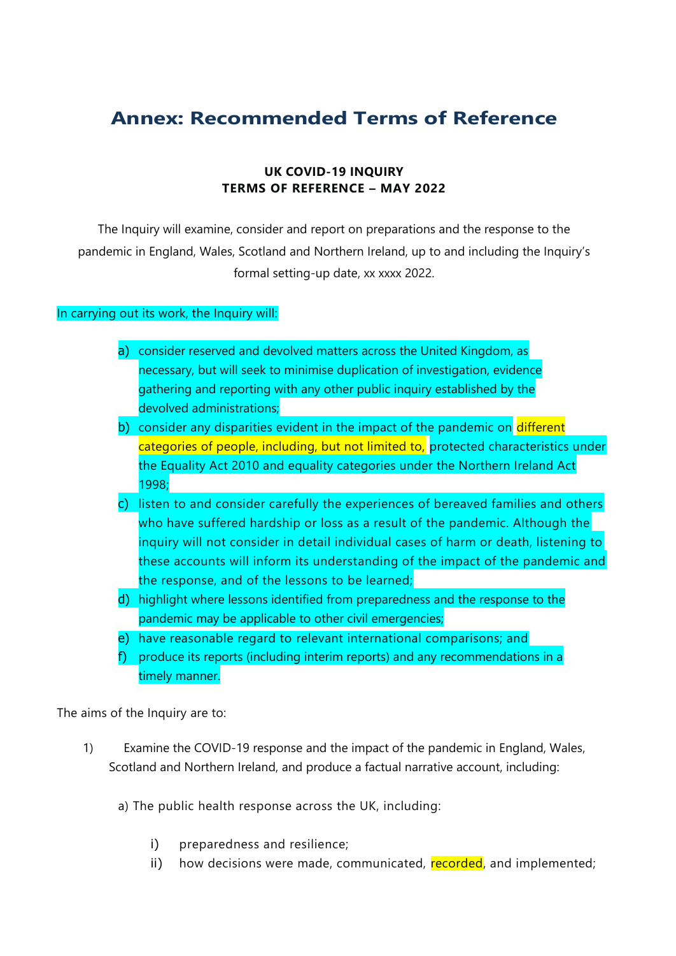## **Annex: Recommended Terms of Reference**

## **UK COVID-19 INQUIRY TERMS OF REFERENCE – MAY 2022**

The Inquiry will examine, consider and report on preparations and the response to the pandemic in England, Wales, Scotland and Northern Ireland, up to and including the Inquiry's formal setting-up date, xx xxxx 2022.

## In carrying out its work, the Inquiry will:

- a) consider reserved and devolved matters across the United Kingdom, as necessary, but will seek to minimise duplication of investigation, evidence gathering and reporting with any other public inquiry established by the devolved administrations;
- b) consider any disparities evident in the impact of the pandemic on different categories of people, including, but not limited to, protected characteristics under the Equality Act 2010 and equality categories under the Northern Ireland Act 1998;
- c) listen to and consider carefully the experiences of bereaved families and others who have suffered hardship or loss as a result of the pandemic. Although the inquiry will not consider in detail individual cases of harm or death, listening to these accounts will inform its understanding of the impact of the pandemic and the response, and of the lessons to be learned;
- d) highlight where lessons identified from preparedness and the response to the pandemic may be applicable to other civil emergencies;
- e) have reasonable regard to relevant international comparisons; and
- f) produce its reports (including interim reports) and any recommendations in a timely manner.

The aims of the Inquiry are to:

1) Examine the COVID-19 response and the impact of the pandemic in England, Wales, Scotland and Northern Ireland, and produce a factual narrative account, including:

a) The public health response across the UK, including:

- i) preparedness and resilience;
- ii) how decisions were made, communicated, recorded, and implemented;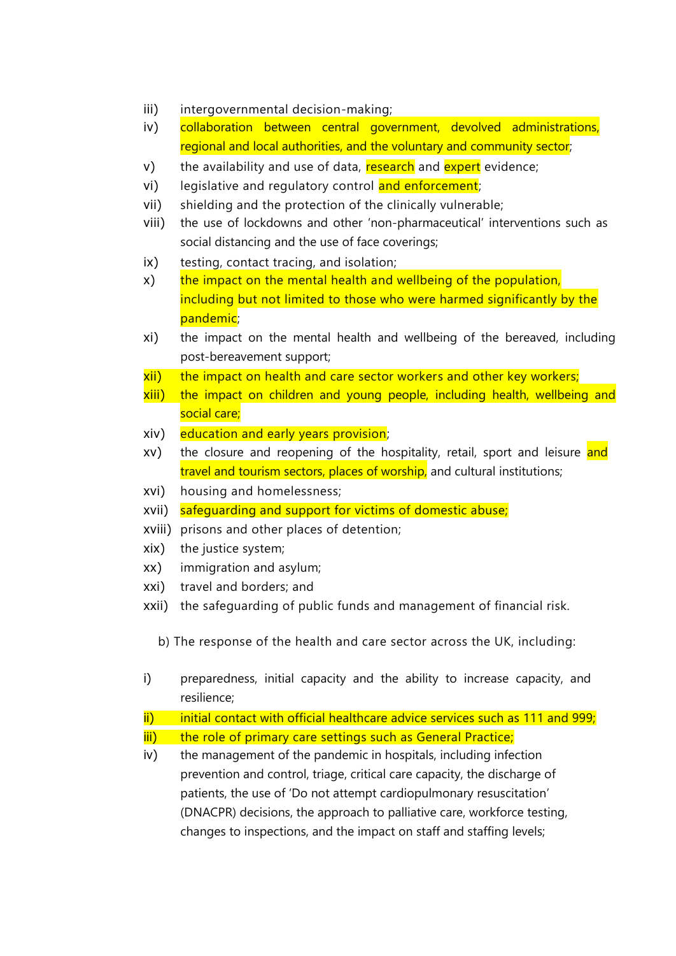- iii) intergovernmental decision-making;
- iv) collaboration between central government, devolved administrations, regional and local authorities, and the voluntary and community sector;
- v) the availability and use of data, research and expert evidence;
- vi) legislative and regulatory control and enforcement;
- vii) shielding and the protection of the clinically vulnerable;
- viii) the use of lockdowns and other 'non-pharmaceutical' interventions such as social distancing and the use of face coverings;
- ix) testing, contact tracing, and isolation;
- x) the impact on the mental health and wellbeing of the population, including but not limited to those who were harmed significantly by the pandemic;
- xi) the impact on the mental health and wellbeing of the bereaved, including post-bereavement support;
- xii) the impact on health and care sector workers and other key workers;
- xiii) the impact on children and young people, including health, wellbeing and social care;
- xiv) education and early years provision;
- xv) the closure and reopening of the hospitality, retail, sport and leisure and travel and tourism sectors, places of worship, and cultural institutions;
- xvi) housing and homelessness;
- xvii) safeguarding and support for victims of domestic abuse;
- xviii) prisons and other places of detention;
- xix) the justice system;
- xx) immigration and asylum;
- xxi) travel and borders; and
- xxii) the safeguarding of public funds and management of financial risk.
	- b) The response of the health and care sector across the UK, including:
- i) preparedness, initial capacity and the ability to increase capacity, and resilience;
- $ii)$  initial contact with official healthcare advice services such as 111 and 999;
- iii) the role of primary care settings such as General Practice;
- iv) the management of the pandemic in hospitals, including infection prevention and control, triage, critical care capacity, the discharge of patients, the use of 'Do not attempt cardiopulmonary resuscitation' (DNACPR) decisions, the approach to palliative care, workforce testing, changes to inspections, and the impact on staff and staffing levels;